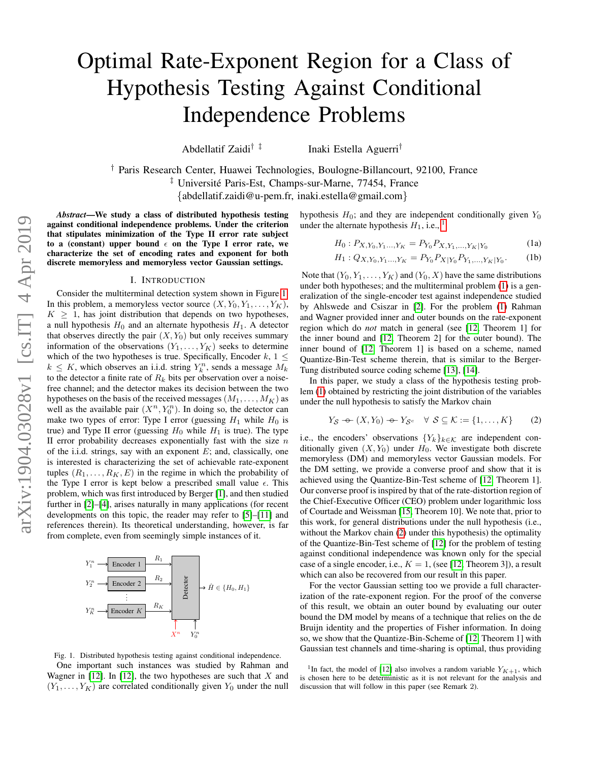# Optimal Rate-Exponent Region for a Class of Hypothesis Testing Against Conditional Independence Problems

Abdellatif Zaidi† ‡ Inaki Estella Aguerri†

† Paris Research Center, Huawei Technologies, Boulogne-Billancourt, 92100, France <sup>‡</sup> Université Paris-Est, Champs-sur-Marne, 77454, France {abdellatif.zaidi@u-pem.fr, inaki.estella@gmail.com}

*Abstract*—We study a class of distributed hypothesis testing against conditional independence problems. Under the criterion that stipulates minimization of the Type II error rate subject

to a (constant) upper bound  $\epsilon$  on the Type I error rate, we characterize the set of encoding rates and exponent for both discrete memoryless and memoryless vector Gaussian settings.

## I. INTRODUCTION

Consider the multiterminal detection system shown in Figure [1.](#page-0-0) In this problem, a memoryless vector source  $(X, Y_0, Y_1, \ldots, Y_K)$ ,  $K > 1$ , has joint distribution that depends on two hypotheses, a null hypothesis  $H_0$  and an alternate hypothesis  $H_1$ . A detector that observes directly the pair  $(X, Y_0)$  but only receives summary information of the observations  $(Y_1, \ldots, Y_K)$  seeks to determine which of the two hypotheses is true. Specifically, Encoder  $k$ ,  $1 \leq$  $k \leq K$ , which observes an i.i.d. string  $Y_k^n$ , sends a message  $M_k$ to the detector a finite rate of  $R_k$  bits per observation over a noisefree channel; and the detector makes its decision between the two hypotheses on the basis of the received messages  $(M_1, \ldots, M_K)$  as well as the available pair  $(X^n, Y_0^n)$ . In doing so, the detector can make two types of error: Type I error (guessing  $H_1$  while  $H_0$  is true) and Type II error (guessing  $H_0$  while  $H_1$  is true). The type II error probability decreases exponentially fast with the size  $n$ of the i.i.d. strings, say with an exponent  $E$ ; and, classically, one is interested is characterizing the set of achievable rate-exponent tuples  $(R_1, \ldots, R_K, E)$  in the regime in which the probability of the Type I error is kept below a prescribed small value  $\epsilon$ . This problem, which was first introduced by Berger [\[1\]](#page-6-0), and then studied further in [\[2\]](#page-6-1)–[\[4\]](#page-6-2), arises naturally in many applications (for recent developments on this topic, the reader may refer to [\[5\]](#page-6-3)–[\[11\]](#page-6-4) and references therein). Its theoretical understanding, however, is far from complete, even from seemingly simple instances of it.



hypothesis  $H_0$ ; and they are independent conditionally given  $Y_0$ under the alternate hypothesis  $H_1$  $H_1$ , i.e., <sup>1</sup>

$$
H_0: P_{X, Y_0, Y_1, \dots, Y_K} = P_{Y_0} P_{X, Y_1, \dots, Y_K | Y_0}
$$
 (1a)

<span id="page-0-2"></span>
$$
H_1: Q_{X,Y_0,Y_1\ldots,Y_K} = P_{Y_0} P_{X|Y_0} P_{Y_1,\ldots,Y_K|Y_0}.
$$
 (1b)

Note that  $(Y_0, Y_1, \ldots, Y_K)$  and  $(Y_0, X)$  have the same distributions under both hypotheses; and the multiterminal problem [\(1\)](#page-0-2) is a generalization of the single-encoder test against independence studied by Ahlswede and Csiszar in [\[2\]](#page-6-1). For the problem [\(1\)](#page-0-2) Rahman and Wagner provided inner and outer bounds on the rate-exponent region which do *not* match in general (see [\[12,](#page-6-5) Theorem 1] for the inner bound and [\[12,](#page-6-5) Theorem 2] for the outer bound). The inner bound of [\[12,](#page-6-5) Theorem 1] is based on a scheme, named Quantize-Bin-Test scheme therein, that is similar to the Berger-Tung distributed source coding scheme [\[13\]](#page-6-6), [\[14\]](#page-6-7).

In this paper, we study a class of the hypothesis testing problem [\(1\)](#page-0-2) obtained by restricting the joint distribution of the variables under the null hypothesis to satisfy the Markov chain

<span id="page-0-3"></span>
$$
Y_{\mathcal{S}} \leftarrow (X, Y_0) \leftarrow Y_{\mathcal{S}^c} \quad \forall \ \mathcal{S} \subseteq \mathcal{K} := \{1, \dots, K\} \tag{2}
$$

i.e., the encoders' observations  ${Y_k}_{k \in K}$  are independent conditionally given  $(X, Y_0)$  under  $H_0$ . We investigate both discrete memoryless (DM) and memoryless vector Gaussian models. For the DM setting, we provide a converse proof and show that it is achieved using the Quantize-Bin-Test scheme of [\[12,](#page-6-5) Theorem 1]. Our converse proof is inspired by that of the rate-distortion region of the Chief-Executive Officer (CEO) problem under logarithmic loss of Courtade and Weissman [\[15,](#page-6-8) Theorem 10]. We note that, prior to this work, for general distributions under the null hypothesis (i.e., without the Markov chain [\(2\)](#page-0-3) under this hypothesis) the optimality of the Quantize-Bin-Test scheme of [\[12\]](#page-6-5) for the problem of testing against conditional independence was known only for the special case of a single encoder, i.e.,  $K = 1$ , (see [\[12,](#page-6-5) Theorem 3]), a result which can also be recovered from our result in this paper.

For the vector Gaussian setting too we provide a full characterization of the rate-exponent region. For the proof of the converse of this result, we obtain an outer bound by evaluating our outer bound the DM model by means of a technique that relies on the de Bruijn identity and the properties of Fisher information. In doing so, we show that the Quantize-Bin-Scheme of [\[12,](#page-6-5) Theorem 1] with Gaussian test channels and time-sharing is optimal, thus providing

<span id="page-0-0"></span>Fig. 1. Distributed hypothesis testing against conditional independence. One important such instances was studied by Rahman and Wagner in  $[12]$ . In  $[12]$ , the two hypotheses are such that X and  $(Y_1, \ldots, Y_K)$  are correlated conditionally given  $Y_0$  under the null

<span id="page-0-1"></span><sup>&</sup>lt;sup>1</sup>In fact, the model of [\[12\]](#page-6-5) also involves a random variable  $Y_{K+1}$ , which is chosen here to be deterministic as it is not relevant for the analysis and discussion that will follow in this paper (see Remark 2).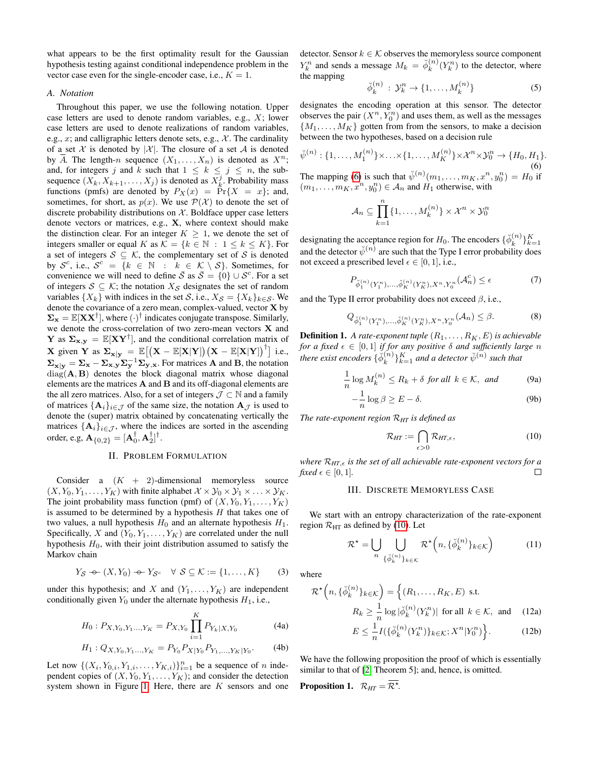what appears to be the first optimality result for the Gaussian hypothesis testing against conditional independence problem in the vector case even for the single-encoder case, i.e.,  $K = 1$ .

## *A. Notation*

Throughout this paper, we use the following notation. Upper case letters are used to denote random variables, e.g., X; lower case letters are used to denote realizations of random variables, e.g., x; and calligraphic letters denote sets, e.g.,  $\mathcal{X}$ . The cardinality of a set X is denoted by |X|. The closure of a set A is denoted by  $\overline{A}$ . The length-n sequence  $(X_1, \ldots, X_n)$  is denoted as  $X^n$ ; and, for integers j and k such that  $1 \leq k \leq j \leq n$ , the subsequence  $(X_k, X_{k+1}, \ldots, X_j)$  is denoted as  $X_k^j$ . Probability mass functions (pmfs) are denoted by  $P_X(x) = \Pr{X = x}$ ; and, sometimes, for short, as  $p(x)$ . We use  $P(\mathcal{X})$  to denote the set of discrete probability distributions on  $X$ . Boldface upper case letters denote vectors or matrices, e.g., X, where context should make the distinction clear. For an integer  $K \geq 1$ , we denote the set of integers smaller or equal K as  $\mathcal{K} = \{k \in \mathbb{N} : 1 \leq k \leq K\}$ . For a set of integers  $S \subseteq K$ , the complementary set of S is denoted by  $\mathcal{S}^c$ , i.e.,  $\mathcal{S}^c = \{k \in \mathbb{N} : k \in \mathcal{K} \setminus \mathcal{S}\}$ . Sometimes, for convenience we will need to define  $\bar{S}$  as  $\bar{S} = \{0\} \cup S^c$ . For a set of integers  $S \subseteq K$ ; the notation  $X_{\mathcal{S}}$  designates the set of random variables  $\{X_k\}$  with indices in the set S, i.e.,  $X_{\mathcal{S}} = \{X_k\}_{k \in \mathcal{S}}$ . We denote the covariance of a zero mean, complex-valued, vector X by  $\Sigma_{\mathbf{x}} = \mathbb{E}[\mathbf{X} \mathbf{X}^{\dagger}]$ , where  $(\cdot)^{\dagger}$  indicates conjugate transpose. Similarly, we denote the cross-correlation of two zero-mean vectors X and **Y** as  $\Sigma_{\mathbf{x},\mathbf{y}} = \mathbb{E}[\mathbf{XY}^{\dagger}]$ , and the conditional correlation matrix of **X** given **Y** as  $\Sigma_{\mathbf{x}|\mathbf{y}} = \mathbb{E}[(\mathbf{X} - \mathbb{E}[\mathbf{X}|\mathbf{Y}])(\mathbf{X} - \mathbb{E}[\mathbf{X}|\mathbf{Y}])^{\dagger}]$  i.e.,  $\Sigma_{\mathbf{x}|\mathbf{y}} = \Sigma_{\mathbf{x}} - \Sigma_{\mathbf{x},\mathbf{y}} \Sigma_{\mathbf{y}}^{-1} \Sigma_{\mathbf{y},\mathbf{x}}$ . For matrices **A** and **B**, the notation  $diag(\mathbf{A}, \mathbf{B})$  denotes the block diagonal matrix whose diagonal elements are the matrices A and B and its off-diagonal elements are the all zero matrices. Also, for a set of integers  $\mathcal{J} \subset \mathbb{N}$  and a family of matrices  $\{A_i\}_{i\in\mathcal{J}}$  of the same size, the notation  $A_{\mathcal{J}}$  is used to denote the (super) matrix obtained by concatenating vertically the matrices  $\{A_i\}_{i\in\mathcal{J}}$ , where the indices are sorted in the ascending order, e.g,  ${\bf A}_{\{0,2\}} = [{\bf A}_0^{\dagger}, {\bf A}_2^{\dagger}]^{\dagger}$ .

# II. PROBLEM FORMULATION

Consider a  $(K + 2)$ -dimensional memoryless source  $(X, Y_0, Y_1, \ldots, Y_K)$  with finite alphabet  $\mathcal{X} \times \mathcal{Y}_0 \times \mathcal{Y}_1 \times \ldots \times \mathcal{Y}_K$ . The joint probability mass function (pmf) of  $(X, Y_0, Y_1, \ldots, Y_K)$ is assumed to be determined by a hypothesis  $H$  that takes one of two values, a null hypothesis  $H_0$  and an alternate hypothesis  $H_1$ . Specifically, X and  $(Y_0, Y_1, \ldots, Y_K)$  are correlated under the null hypothesis  $H_0$ , with their joint distribution assumed to satisfy the Markov chain

<span id="page-1-3"></span>
$$
Y_{\mathcal{S}} \leftarrow (X, Y_0) \leftarrow Y_{\mathcal{S}^c} \quad \forall \ \mathcal{S} \subseteq \mathcal{K} := \{1, \dots, K\} \tag{3}
$$

under this hypothesis; and X and  $(Y_1, \ldots, Y_K)$  are independent conditionally given  $Y_0$  under the alternate hypothesis  $H_1$ , i.e.,

$$
H_0: P_{X,Y_0,Y_1\ldots,Y_K} = P_{X,Y_0} \prod_{i=1}^K P_{Y_k|X,Y_0}
$$
 (4a)

$$
H_1: Q_{X,Y_0,Y_1\ldots,Y_K} = P_{Y_0} P_{X|Y_0} P_{Y_1,\ldots,Y_K|Y_0}.
$$
 (4b)

Let now  $\{(X_i, Y_{0,i}, Y_{1,i}, \ldots, Y_{K,i})\}_{i=1}^n$  be a sequence of n independent copies of  $(X, Y_0, Y_1, \ldots, Y_K)$ ; and consider the detection system shown in Figure [1.](#page-0-0) Here, there are  $K$  sensors and one detector. Sensor  $k \in \mathcal{K}$  observes the memoryless source component  $Y_k^n$  and sends a message  $M_k = \breve{\phi}_k^{(n)}$  $k^{(n)}(Y_k^n)$  to the detector, where the mapping

$$
\breve{\phi}_k^{(n)} : \mathcal{Y}_k^n \to \{1, \dots, M_k^{(n)}\} \tag{5}
$$

designates the encoding operation at this sensor. The detector observes the pair  $(X^n, Y_0^n)$  and uses them, as well as the messages  ${M_1, \ldots, M_K}$  gotten from from the sensors, to make a decision between the two hypotheses, based on a decision rule

<span id="page-1-0"></span>
$$
\check{\psi}^{(n)}: \{1, \ldots, M_1^{(n)}\} \times \ldots \times \{1, \ldots, M_K^{(n)}\} \times \mathcal{X}^n \times \mathcal{Y}_0^n \to \{H_0, H_1\}.
$$
\n
$$
(6)
$$

The mapping [\(6\)](#page-1-0) is such that  $\check{\psi}^{(n)}(m_1,\ldots,m_K,x^n,y_0^n) = H_0$  if  $(m_1, \ldots, m_K, x^n, y_0^n) \in A_n$  and  $H_1$  otherwise, with

$$
\mathcal{A}_n \subseteq \prod_{k=1}^n \{1, \dots, M_k^{(n)}\} \times \mathcal{X}^n \times \mathcal{Y}_0^n
$$

designating the acceptance region for  $H_0$ . The encoders  $\{\breve{\phi}_k^{(n)}\}$  $_{k}^{(n)}\}_{k=1}^{K}$ and the detector  $\check{\psi}^{(n)}$  are such that the Type I error probability does not exceed a prescribed level  $\epsilon \in [0, 1]$ , i.e.,

$$
P_{\breve{\phi}_1^{(n)}(Y_1^n), \dots, \breve{\phi}_K^{(n)}(Y_K^n), X^n, Y_0^n}(\mathcal{A}_n^c) \le \epsilon \tag{7}
$$

and the Type II error probability does not exceed  $\beta$ , i.e.,

$$
Q_{\breve{\phi}_1^{(n)}(Y_1^n),..., \breve{\phi}_K^{(n)}(Y_K^n), X^n, Y_0^n}(\mathcal{A}_n) \le \beta. \tag{8}
$$

**Definition 1.** A rate-exponent tuple  $(R_1, \ldots, R_K, E)$  is achievable *for a fixed*  $\epsilon \in [0,1]$  *if for any positive*  $\delta$  *and sufficiently large n there exist encoders*  $\{ \breve{\phi}_{k}^{(n)} \}$  ${k \choose k}$ <sup>K</sup><sub> $k=1$ </sub> and a detector  $\breve{\psi}^{(n)}$  such that

$$
\frac{1}{n}\log M_k^{(n)} \le R_k + \delta \text{ for all } k \in \mathcal{K}, \text{ and } (9a)
$$

$$
-\frac{1}{n}\log\beta \ge E - \delta. \tag{9b}
$$

*The rate-exponent region* R*HT is defined as*

<span id="page-1-1"></span>
$$
\mathcal{R}_{HT} := \bigcap_{\epsilon > 0} \mathcal{R}_{HT,\epsilon},\tag{10}
$$

*where* R*HT*, *is the set of all achievable rate-exponent vectors for a fixed*  $\epsilon \in [0, 1]$ *.*  $\Box$ 

# III. DISCRETE MEMORYLESS CASE

We start with an entropy characterization of the rate-exponent region  $\mathcal{R}_{\text{HT}}$  as defined by [\(10\)](#page-1-1). Let

$$
\mathcal{R}^{\star} = \bigcup_{n} \bigcup_{\{\check{\phi}_k^{(n)}\}_{k \in \mathcal{K}}} \mathcal{R}^{\star}\left(n, \{\check{\phi}_k^{(n)}\}_{k \in \mathcal{K}}\right) \tag{11}
$$

where

<span id="page-1-2"></span>
$$
\mathcal{R}^{\star}\left(n, \{\breve{\phi}_{k}^{(n)}\}_{k \in \mathcal{K}}\right) = \left\{ (R_{1}, \ldots, R_{K}, E) \text{ s.t. } \atop R_{k} \geq \frac{1}{n} \log |\breve{\phi}_{k}^{(n)}(Y_{k}^{n})| \text{ for all } k \in \mathcal{K}, \text{ and } (12a) \atop E < \frac{1}{n} I(\{\breve{\phi}_{k}^{(n)}(Y_{k}^{n})\}_{k \in \mathcal{K}}; X^{n}|Y_{0}^{n}) \right\}. \tag{12b}
$$

$$
E \leq \frac{1}{n} I\left(\{\check{\phi}_k^{(n)}(Y_k^n)\}_{k \in \mathcal{K}}; X^n | Y_0^n \right). \tag{12b}
$$

We have the following proposition the proof of which is essentially similar to that of [\[2,](#page-6-1) Theorem 5]; and, hence, is omitted.

**Proposition 1.**  $\mathcal{R}_{HT} = \overline{\mathcal{R}^*}.$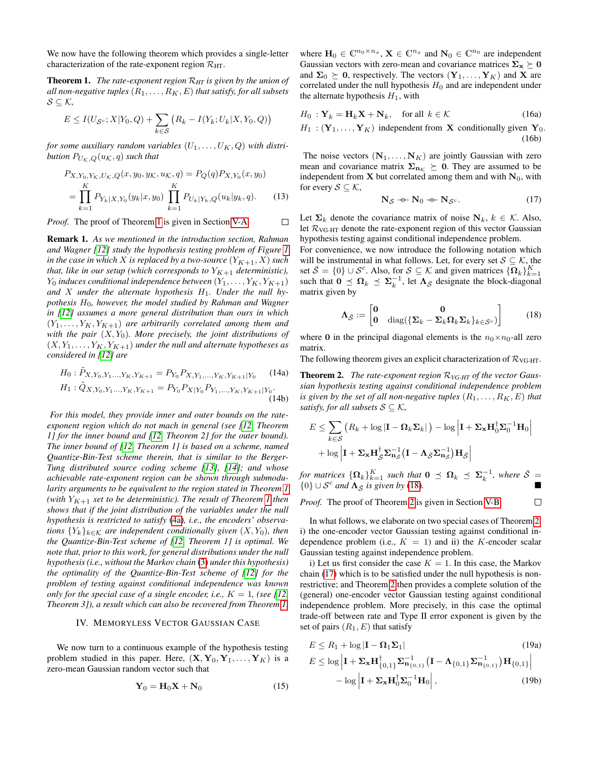We now have the following theorem which provides a single-letter characterization of the rate-exponent region  $\mathcal{R}_{\text{HT}}$ .

<span id="page-2-0"></span>Theorem 1. *The rate-exponent region* R*HT is given by the union of all non-negative tuples*  $(R_1, \ldots, R_K, E)$  *that satisfy, for all subsets* S ⊆ K*,*

$$
E \leq I(U_{\mathcal{S}^c}; X | Y_0, Q) + \sum_{k \in \mathcal{S}} (R_k - I(Y_k; U_k | X, Y_0, Q))
$$

*for some auxiliary random variables*  $(U_1, \ldots, U_K, Q)$  *with distribution*  $P_{U_K,Q}(u_K,q)$  *such that* 

$$
P_{X,Y_0,Y_K,U_K,Q}(x,y_0,y_K,u_K,q) = P_Q(q)P_{X,Y_0}(x,y_0)
$$
  
= 
$$
\prod_{k=1}^K P_{Y_k|X,Y_0}(y_k|x,y_0) \prod_{k=1}^K P_{U_k|Y_k,Q}(u_k|y_k,q).
$$
 (13)

*Proof.* The proof of Theorem [1](#page-2-0) is given in Section [V-A.](#page-3-0)  $\Box$ 

Remark 1. *As we mentioned in the introduction section, Rahman and Wagner [\[12\]](#page-6-5) study the hypothesis testing problem of Figure [1](#page-0-0) in the case in which* X *is replaced by a two-source*  $(Y_{K+1}, X)$  *such that, like in our setup (which corresponds to*  $Y_{K+1}$  *deterministic),*  $Y_0$  *induces conditional independence between*  $(Y_1, \ldots, Y_K, Y_{K+1})$ and X under the alternate hypothesis  $H_1$ . Under the null hy*pothesis* H0*, however, the model studied by Rahman and Wagner in [\[12\]](#page-6-5) assumes a more general distribution than ours in which*  $(Y_1, \ldots, Y_K, Y_{K+1})$  *are arbitrarily correlated among them and* with the pair  $(X, Y_0)$ *. More precisely, the joint distributions of*  $(X, Y_1, \ldots, Y_K, Y_{K+1})$  *under the null and alternate hypotheses as considered in [\[12\]](#page-6-5) are*

$$
H_0: \tilde{P}_{X,Y_0,Y_1\ldots,Y_K,Y_{K+1}} = P_{Y_0} P_{X,Y_1,\ldots,Y_K,Y_{K+1}|Y_0} \qquad (14a)
$$

$$
H_1: \tilde{Q}_{X,Y_0,Y_1\ldots,Y_K,Y_{K+1}} = P_{Y_0} P_{X|Y_0} P_{Y_1,\ldots,Y_K,Y_{K+1}|Y_0}.
$$
\n(14b)

*For this model, they provide inner and outer bounds on the rateexponent region which do not mach in general (see [\[12,](#page-6-5) Theorem 1] for the inner bound and [\[12,](#page-6-5) Theorem 2] for the outer bound). The inner bound of [\[12,](#page-6-5) Theorem 1] is based on a scheme, named Quantize-Bin-Test scheme therein, that is similar to the Berger-Tung distributed source coding scheme [\[13\]](#page-6-6), [\[14\]](#page-6-7); and whose achievable rate-exponent region can be shown through submodularity arguments to be equivalent to the region stated in Theorem [1](#page-2-0) (with*  $Y_{K+1}$  *set to be deterministic). The result of Theorem [1](#page-2-0) then shows that if the joint distribution of the variables under the null hypothesis is restricted to satisfy* [\(4a\)](#page-1-2)*, i.e., the encoders' observations*  ${Y_k}_{k \in K}$  *are independent conditionally given*  $(X, Y_0)$ *, then the Quantize-Bin-Test scheme of [\[12,](#page-6-5) Theorem 1] is optimal. We note that, prior to this work, for general distributions under the null hypothesis (i.e., without the Markov chain* [\(3\)](#page-1-3) *under this hypothesis) the optimality of the Quantize-Bin-Test scheme of [\[12\]](#page-6-5) for the problem of testing against conditional independence was known only for the special case of a single encoder, i.e.,*  $K = 1$ , (see [\[12,](#page-6-5)] *Theorem 3]), a result which can also be recovered from Theorem [1.](#page-2-0)*

## IV. MEMORYLESS VECTOR GAUSSIAN CASE

<span id="page-2-6"></span>We now turn to a continuous example of the hypothesis testing problem studied in this paper. Here,  $(X, Y_0, Y_1, \ldots, Y_K)$  is a zero-mean Gaussian random vector such that

$$
\mathbf{Y}_0 = \mathbf{H}_0 \mathbf{X} + \mathbf{N}_0 \tag{15}
$$

where  $\mathbf{H}_0 \in \mathbb{C}^{n_0 \times n_x}$ ,  $\mathbf{X} \in \mathbb{C}^{n_x}$  and  $\mathbf{N}_0 \in \mathbb{C}^{n_0}$  are independent Gaussian vectors with zero-mean and covariance matrices  $\Sigma_{\mathbf{x}} \succeq 0$ and  $\Sigma_0 \succeq 0$ , respectively. The vectors  $(Y_1, \ldots, Y_K)$  and X are correlated under the null hypothesis  $H_0$  and are independent under the alternate hypothesis  $H_1$ , with

$$
H_0: \mathbf{Y}_k = \mathbf{H}_k \mathbf{X} + \mathbf{N}_k, \quad \text{for all } k \in \mathcal{K} \tag{16a}
$$

$$
H_1: (\mathbf{Y}_1, \dots, \mathbf{Y}_K) \text{ independent from } \mathbf{X} \text{ conditionally given } \mathbf{Y}_0. \tag{16b}
$$

The noise vectors  $(N_1, \ldots, N_K)$  are jointly Gaussian with zero mean and covariance matrix  $\Sigma_{n,k} \succeq 0$ . They are assumed to be independent from **X** but correlated among them and with  $N_0$ , with for every  $S \subseteq K$ ,

<span id="page-2-5"></span><span id="page-2-3"></span>
$$
\mathbf{N}_{\mathcal{S}} \cdot \mathbf{\Theta} \cdot \mathbf{N}_0 \cdot \mathbf{\Theta} \cdot \mathbf{N}_{\mathcal{S}^c}.\tag{17}
$$

Let  $\Sigma_k$  denote the covariance matrix of noise  $N_k$ ,  $k \in \mathcal{K}$ . Also, let  $\mathcal{R}_{\text{VG-HT}}$  denote the rate-exponent region of this vector Gaussian hypothesis testing against conditional independence problem.

For convenience, we now introduce the following notation which will be instrumental in what follows. Let, for every set  $S \subseteq \mathcal{K}$ , the set  $\bar{S} = \{0\} \cup S^c$ . Also, for  $S \subseteq \mathcal{K}$  and given matrices  $\{\mathbf{\Omega}_k\}_{k=1}^K$ such that  $0 \leq \Omega_k \leq \Sigma_k^{-1}$ , let  $\Lambda_{\bar{S}}$  designate the block-diagonal matrix given by

<span id="page-2-1"></span>
$$
\Lambda_{\bar{S}} := \begin{bmatrix} 0 & 0 \\ 0 & \text{diag}(\{\Sigma_k - \Sigma_k \Omega_k \Sigma_k\}_{k \in S^c}) \end{bmatrix}
$$
 (18)

where 0 in the principal diagonal elements is the  $n_0 \times n_0$ -all zero matrix.

The following theorem gives an explicit characterization of  $R_{\text{VG-HT}}$ .

<span id="page-2-2"></span>Theorem 2. *The rate-exponent region* R*VG-HT of the vector Gaussian hypothesis testing against conditional independence problem is given by the set of all non-negative tuples*  $(R_1, \ldots, R_K, E)$  *that satisfy, for all subsets*  $S \subseteq K$ *,* 

$$
E \leq \sum_{k \in \mathcal{S}} \left( R_k + \log |\mathbf{I} - \mathbf{\Omega}_k \mathbf{\Sigma}_k| \right) - \log \left| \mathbf{I} + \mathbf{\Sigma}_\mathbf{x} \mathbf{H}_0^\dagger \mathbf{\Sigma}_0^{-1} \mathbf{H}_0 \right|
$$
  
+ 
$$
\log \left| \mathbf{I} + \mathbf{\Sigma}_\mathbf{x} \mathbf{H}_\mathcal{S}^\dagger \mathbf{\Sigma}_\mathbf{n}^{-1} \mathbf{G} \left( \mathbf{I} - \mathbf{\Lambda}_{\mathcal{S}} \mathbf{\Sigma}_\mathbf{n}^{-1} \mathbf{H}_\mathcal{S} \right) \right|
$$

*for matrices*  $\{\mathbf{\Omega}_k\}_{k=1}^K$  *such that*  $\mathbf{0} \preceq \mathbf{\Omega}_k \preceq \mathbf{\Sigma}_k^{-1}$ *, where*  $\bar{\mathcal{S}} =$  ${0}$  ∪ S<sup>c</sup> and  $\Lambda_{\bar{S}}$  is given by [\(18\)](#page-2-1).

<span id="page-2-4"></span> $\Box$ 

*Proof.* The proof of Theorem [2](#page-2-2) is given in Section [V-B.](#page-4-0)

In what follows, we elaborate on two special cases of Theorem [2,](#page-2-2) i) the one-encoder vector Gaussian testing against conditional independence problem (i.e.,  $K = 1$ ) and ii) the K-encoder scalar Gaussian testing against independence problem.

i) Let us first consider the case  $K = 1$ . In this case, the Markov chain [\(17\)](#page-2-3) which is to be satisfied under the null hypothesis is nonrestrictive; and Theorem [2](#page-2-2) then provides a complete solution of the (general) one-encoder vector Gaussian testing against conditional independence problem. More precisely, in this case the optimal trade-off between rate and Type II error exponent is given by the set of pairs  $(R_1, E)$  that satisfy

$$
E \le R_1 + \log |\mathbf{I} - \mathbf{\Omega}_1 \mathbf{\Sigma}_1|
$$
\n
$$
E \le \log |\mathbf{I} + \mathbf{\Sigma}_\mathbf{x} \mathbf{H}_{\{0,1\}}^\dagger \mathbf{\Sigma}_{\mathbf{n}_{\{0,1\}}}^{-1} (\mathbf{I} - \mathbf{\Lambda}_{\{0,1\}} \mathbf{\Sigma}_{\mathbf{n}_{\{0,1\}}}^{-1}) \mathbf{H}_{\{0,1\}}|
$$
\n
$$
- \log |\mathbf{I} + \mathbf{\Sigma}_\mathbf{x} \mathbf{H}_0^\dagger \mathbf{\Sigma}_0^{-1} \mathbf{H}_0|,
$$
\n(19b)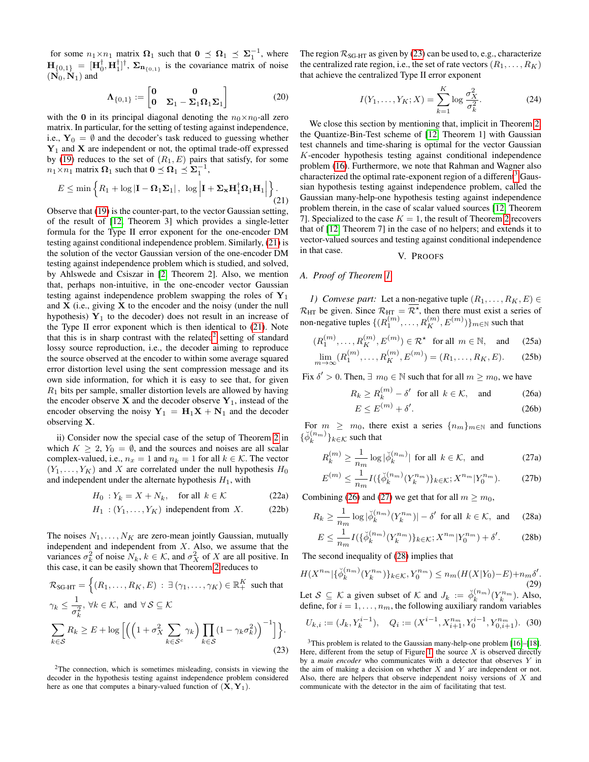for some  $n_1 \times n_1$  matrix  $\Omega_1$  such that  $0 \preceq \Omega_1 \preceq \Sigma_1^{-1}$ , where  $\mathbf{H}_{\{0,1\}} = [\mathbf{H}_0^{\dagger}, \mathbf{H}_1^{\dagger}]^{\dagger}, \Sigma_{\mathbf{n}_{\{0,1\}}}$  is the covariance matrix of noise  $(N_0, N_1)$  and

$$
\Lambda_{\{0,1\}} := \begin{bmatrix} 0 & 0 \\ 0 & \Sigma_1 - \Sigma_1 \Omega_1 \Sigma_1 \end{bmatrix}
$$
 (20)

with the 0 in its principal diagonal denoting the  $n_0 \times n_0$ -all zero matrix. In particular, for the setting of testing against independence, i.e.,  $Y_0 = \emptyset$  and the decoder's task reduced to guessing whether  $Y_1$  and X are independent or not, the optimal trade-off expressed by [\(19\)](#page-2-4) reduces to the set of  $(R_1, E)$  pairs that satisfy, for some  $n_1 \times n_1$  matrix  $\Omega_1$  such that  $0 \leq \Omega_1 \leq \Sigma_1^{-1}$ ,

<span id="page-3-1"></span>
$$
E \le \min\left\{ R_1 + \log|\mathbf{I} - \mathbf{\Omega}_1 \mathbf{\Sigma}_1| \,, \, \, \log \left| \mathbf{I} + \mathbf{\Sigma}_\mathbf{x} \mathbf{H}_1^\dagger \mathbf{\Omega}_1 \mathbf{H}_1 \right| \right\}.
$$
\n(21)

Observe that [\(19\)](#page-2-4) is the counter-part, to the vector Gaussian setting, of the result of [\[12,](#page-6-5) Theorem 3] which provides a single-letter formula for the Type II error exponent for the one-encoder DM testing against conditional independence problem. Similarly, [\(21\)](#page-3-1) is the solution of the vector Gaussian version of the one-encoder DM testing against independence problem which is studied, and solved, by Ahlswede and Csiszar in [\[2,](#page-6-1) Theorem 2]. Also, we mention that, perhaps non-intuitive, in the one-encoder vector Gaussian testing against independence problem swapping the roles of  $Y_1$ and  $X$  (i.e., giving  $X$  to the encoder and the noisy (under the null hypothesis)  $Y_1$  to the decoder) does not result in an increase of the Type II error exponent which is then identical to [\(21\)](#page-3-1). Note that this is in sharp contrast with the related<sup>[2](#page-3-2)</sup> setting of standard lossy source reproduction, i.e., the decoder aiming to reproduce the source observed at the encoder to within some average squared error distortion level using the sent compression message and its own side information, for which it is easy to see that, for given  $R_1$  bits per sample, smaller distortion levels are allowed by having the encoder observe  $X$  and the decoder observe  $Y_1$ , instead of the encoder observing the noisy  $Y_1 = H_1X + N_1$  and the decoder observing X.

ii) Consider now the special case of the setup of Theorem [2](#page-2-2) in which  $K \geq 2$ ,  $Y_0 = \emptyset$ , and the sources and noises are all scalar complex-valued, i.e.,  $n_x = 1$  and  $n_k = 1$  for all  $k \in \mathcal{K}$ . The vector  $(Y_1, \ldots, Y_K)$  and X are correlated under the null hypothesis  $H_0$ and independent under the alternate hypothesis  $H_1$ , with

$$
H_0: Y_k = X + N_k, \quad \text{for all } k \in \mathcal{K} \tag{22a}
$$

$$
H_1: (Y_1, \dots, Y_K) \text{ independent from } X. \tag{22b}
$$

The noises  $N_1, \ldots, N_K$  are zero-mean jointly Gaussian, mutually independent and independent from  $X$ . Also, we assume that the variances  $\sigma_k^2$  of noise  $N_k$ ,  $k \in \mathcal{K}$ , and  $\sigma_X^2$  of X are all positive. In this case, it can be easily shown that Theorem [2](#page-2-2) reduces to

$$
\mathcal{R}_{SG\text{-}HT} = \left\{ (R_1, \dots, R_K, E) : \exists (\gamma_1, \dots, \gamma_K) \in \mathbb{R}_+^K \text{ such that } \right.
$$
\n
$$
\gamma_k \le \frac{1}{\sigma_k^2}, \forall k \in \mathcal{K}, \text{ and } \forall \mathcal{S} \subseteq \mathcal{K}
$$
\n
$$
\sum_{k \in \mathcal{S}} R_k \ge E + \log \left[ \left( \left( 1 + \sigma_X^2 \sum_{k \in \mathcal{S}^c} \gamma_k \right) \prod_{k \in \mathcal{S}} (1 - \gamma_k \sigma_k^2) \right)^{-1} \right] \right\}.
$$
\n(23)

<span id="page-3-2"></span><sup>2</sup>The connection, which is sometimes misleading, consists in viewing the decoder in the hypothesis testing against independence problem considered here as one that computes a binary-valued function of  $(\mathbf{X}, \mathbf{Y}_1)$ .

The region  $\mathcal{R}_{SG-HT}$  as given by [\(23\)](#page-3-3) can be used to, e.g., characterize the centralized rate region, i.e., the set of rate vectors  $(R_1, \ldots, R_K)$ that achieve the centralized Type II error exponent

$$
I(Y_1, \dots, Y_K; X) = \sum_{k=1}^K \log \frac{\sigma_X^2}{\sigma_k^2}.
$$
 (24)

We close this section by mentioning that, implicit in Theorem [2,](#page-2-2) the Quantize-Bin-Test scheme of [\[12,](#page-6-5) Theorem 1] with Gaussian test channels and time-sharing is optimal for the vector Gaussian K-encoder hypothesis testing against conditional independence problem [\(16\)](#page-2-5). Furthermore, we note that Rahman and Wagner also characterized the optimal rate-exponent region of a different<sup>[3](#page-3-4)</sup> Gaussian hypothesis testing against independence problem, called the Gaussian many-help-one hypothesis testing against independence problem therein, in the case of scalar valued sources [\[12,](#page-6-5) Theorem 7]. Specialized to the case  $K = 1$ , the result of Theorem [2](#page-2-2) recovers that of [\[12,](#page-6-5) Theorem 7] in the case of no helpers; and extends it to vector-valued sources and testing against conditional independence in that case. V. PROOFS

# <span id="page-3-0"></span>*A. Proof of Theorem [1](#page-2-0)*

*1) Convese part:* Let a non-negative tuple  $(R_1, \ldots, R_K, E) \in$  $\mathcal{R}_{\text{HT}}$  be given. Since  $\mathcal{R}_{\text{HT}} = \mathcal{R}^*$ , then there must exist a series of non-negative tuples  $\{ (R_1^{(m)}, \ldots, R_K^{(m)}, E^{(m)}) \}_{m \in \mathbb{N}}$  such that

$$
(R_1^{(m)}, \ldots, R_K^{(m)}, E^{(m)}) \in \mathcal{R}^*
$$
 for all  $m \in \mathbb{N}$ , and (25a)  
\n
$$
\lim_{m \to \infty} (R_1^{(m)}, \ldots, R_K^{(m)}, E^{(m)}) = (R_1, \ldots, R_K, E).
$$
 (25b)

Fix  $\delta' > 0$ . Then,  $\exists m_0 \in \mathbb{N}$  such that for all  $m \ge m_0$ , we have

$$
R_k \ge R_k^{(m)} - \delta' \quad \text{for all} \ \ k \in \mathcal{K}, \quad \text{and} \tag{26a}
$$

<span id="page-3-6"></span><span id="page-3-5"></span>
$$
E \le E^{(m)} + \delta'.\tag{26b}
$$

For  $m \geq m_0$ , there exist a series  $\{n_m\}_{m \in \mathbb{N}}$  and functions  $\{\check{\phi}_k^{(n_m)}\}_{k \in \mathcal{K}}$  such that

$$
R_k^{(m)} \ge \frac{1}{n_m} \log |\breve{\phi}_k^{(n_m)}| \text{ for all } k \in \mathcal{K}, \text{ and } (27a)
$$

$$
E^{(m)} \le \frac{1}{n_m} I(\{\breve{\phi}_k^{(n_m)}(Y_k^{n_m})\}_{k \in \mathcal{K}}; X^{n_m} | Y_0^{n_m}).
$$
 (27b)

Combining [\(26\)](#page-3-5) and [\(27\)](#page-3-6) we get that for all  $m \ge m_0$ ,

$$
R_k \ge \frac{1}{n_m} \log |\check{\phi}_k^{(n_m)}(Y_k^{n_m})| - \delta' \text{ for all } k \in \mathcal{K}, \text{ and } (28a)
$$
  

$$
E \le \frac{1}{n} \mathcal{L}(\check{\chi}(n_m)(Y_k^{n_m})) \le \check{Y}_k^{n_m}(\check{\chi}(n_m)) \le \check{\chi}'.
$$
 (29b)

<span id="page-3-7"></span>
$$
E \le \frac{1}{n_m} I(\{\breve{\phi}_k^{(n_m)}(Y_k^{n_m})\}_{k \in \mathcal{K}}; X^{n_m} | Y_0^{n_m}) + \delta'. \tag{28b}
$$

The second inequality of [\(28\)](#page-3-7) implies that

<span id="page-3-8"></span>
$$
H(X^{n_m}|\{\check{\phi}_k^{(n_m)}(Y_k^{n_m})\}_{k \in \mathcal{K}}, Y_0^{n_m}) \le n_m(H(X|Y_0) - E) + n_m \delta'.
$$
\n(29)

Let  $S \subseteq \mathcal{K}$  a given subset of  $\mathcal{K}$  and  $J_k := \check{\phi}_k^{(n_m)}(Y_k^{n_m})$ . Also, define, for  $i = 1, \ldots, n_m$ , the following auxiliary random variables

<span id="page-3-9"></span>
$$
U_{k,i} := (J_k, Y_k^{i-1}), \quad Q_i := (X^{i-1}, X_{i+1}^{n_m}, Y_0^{i-1}, Y_{0,i+1}^{n_m}). \tag{30}
$$

<span id="page-3-4"></span><span id="page-3-3"></span> $3$ This problem is related to the Gaussian many-help-one problem [\[16\]](#page-6-9)–[\[18\]](#page-6-10). Here, different from the setup of Figure [1,](#page-0-0) the source  $X$  is observed directly by a *main encoder* who communicates with a detector that observes Y in the aim of making a decision on whether  $X$  and  $Y$  are independent or not. Also, there are helpers that observe independent noisy versions of  $X$  and communicate with the detector in the aim of facilitating that test.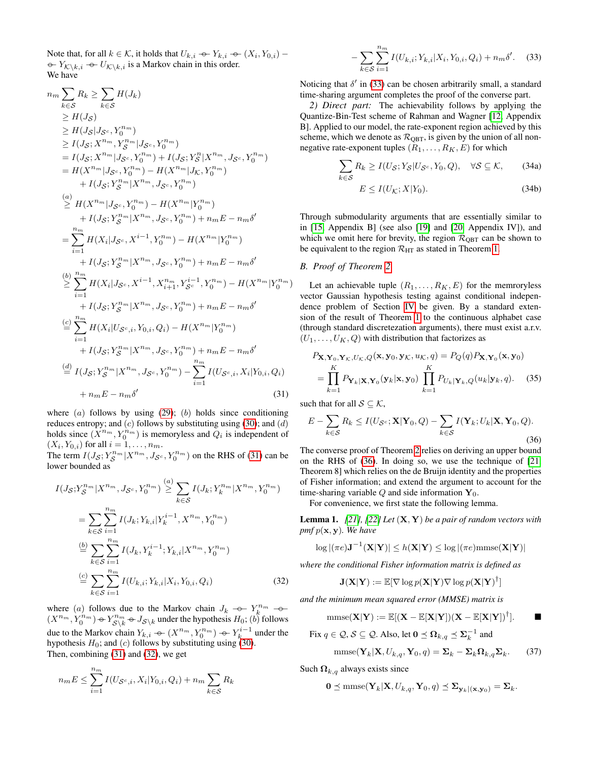Note that, for all  $k \in \mathcal{K}$ , it holds that  $U_{k,i} \rightarrow Y_{k,i} \rightarrow (X_i, Y_{0,i}) -$ <br>  $\odot$  V<sub>i</sub>  $\odot$  J<sub>i</sub> is a Markov chain in this order  $\sum_{k=1}^{\infty}$  $\rightarrow Y_{\mathcal{K}\backslash k,i} \rightarrow U_{\mathcal{K}\backslash k,i}$  is a Markov chain in this order.

 $\tau$ 

$$
u_{m} \sum_{k \in S} R_{k} \geq \sum_{k \in S} H(J_{k})
$$
  
\n
$$
\geq H(J_{S})
$$
  
\n
$$
\geq H(J_{S}; X^{n_{m}}, Y_{S}^{n_{m}} | J_{S^{c}}, Y_{0}^{n_{m}})
$$
  
\n
$$
= I(J_{S}; X^{n_{m}}, Y_{S}^{n_{m}} | J_{S^{c}}, Y_{0}^{n_{m}}) + I(J_{S}; Y_{S}^{n} | X^{n_{m}}, J_{S^{c}}, Y_{0}^{n_{m}})
$$
  
\n
$$
= H(X^{n_{m}} | J_{S^{c}}, Y_{0}^{n_{m}}) - H(X^{n_{m}} | J_{K}, Y_{0}^{n_{m}})
$$
  
\n
$$
+ I(J_{S}; Y_{S}^{n_{m}} | X^{n_{m}}, J_{S^{c}}, Y_{0}^{n_{m}})
$$
  
\n(a)  
\n
$$
\geq H(X^{n_{m}} | J_{S^{c}}, Y_{0}^{n_{m}}) - H(X^{n_{m}} | Y_{0}^{n_{m}})
$$
  
\n
$$
+ I(J_{S}; Y_{S}^{n_{m}} | X^{n_{m}}, J_{S^{c}}, Y_{0}^{n_{m}}) + n_{m} E - n_{m} \delta'
$$
  
\n
$$
= \sum_{i=1}^{n_{m}} H(X_{i} | J_{S^{c}}, X^{i-1}, Y_{0}^{n_{m}}) - H(X^{n_{m}} | Y_{0}^{n_{m}})
$$
  
\n
$$
+ I(J_{S}; Y_{S}^{n_{m}} | X^{n_{m}}, J_{S^{c}}, Y_{0}^{n_{m}}) + n_{m} E - n_{m} \delta'
$$
  
\n(b)  
\n
$$
\geq \sum_{i=1}^{n_{m}} H(X_{i} | J_{S^{c}}, X^{i-1}, X_{i+1}^{n_{m}}, Y_{S^{c}}^{i-1}, Y_{0}^{n_{m}}) - H(X^{n_{m}} | Y_{0}^{n_{m}})
$$
  
\n
$$
+ I(J_{S}; Y_{S}^{n_{m}} | X^{n_{m}}, J_{S^{c}}, Y_{0}^{n_{m}}) + n_{m} E - n_{m} \delta'
$$
  
\n(c)  
\n
$$
\sum_{i=1}^{n_{m}} H(X_{i} | U_{S^{c}, i}, Y_{0
$$

where  $(a)$  follows by using  $(29)$ ;  $(b)$  holds since conditioning reduces entropy; and  $(c)$  follows by substituting using [\(30\)](#page-3-9); and  $(d)$ holds since  $(X^{n_m}, Y_0^{n_m})$  is memoryless and  $Q_i$  is independent of  $(X_i, Y_{0,i})$  for all  $i = 1, ..., n_m$ .

The term  $I(J_S; Y_S^{n_m} | X^{n_m}, J_{S^c}, Y_0^{n_m})$  on the RHS of [\(31\)](#page-4-1) can be lower bounded as

$$
I(J_{\mathcal{S}}; Y_{\mathcal{S}}^{n_{m}} | X^{n_{m}}, J_{\mathcal{S}^{c}}, Y_{0}^{n_{m}}) \stackrel{(a)}{\geq} \sum_{k \in \mathcal{S}} I(J_{k}; Y_{k}^{n_{m}} | X^{n_{m}}, Y_{0}^{n_{m}})
$$
  
\n
$$
= \sum_{k \in \mathcal{S}} \sum_{i=1}^{n_{m}} I(J_{k}; Y_{k,i} | Y_{k}^{i-1}, X^{n_{m}}, Y_{0}^{n_{m}})
$$
  
\n
$$
\stackrel{(b)}{=} \sum_{k \in \mathcal{S}} \sum_{i=1}^{n_{m}} I(J_{k}, Y_{k}^{i-1}; Y_{k,i} | X^{n_{m}}, Y_{0}^{n_{m}})
$$
  
\n
$$
\stackrel{(c)}{=} \sum_{k \in \mathcal{S}} \sum_{i=1}^{n_{m}} I(U_{k,i}; Y_{k,i} | X_{i}, Y_{0,i}, Q_{i})
$$
 (32)

where (a) follows due to the Markov chain  $J_k \to Y_k^{n_m} \to (X^{n_m} \times Y_k^{n_m}) \circ Y_k^{n_m} \circ I$ , under the hypothesis  $H_{\gamma}(k)$  follows  $(X^{n_m}, Y_0^{n_m}) \leftrightarrow Y_{\mathcal{S}\backslash k}^{n_m} \leftrightarrow J_{\mathcal{S}\backslash k}$  under the hypothesis  $H_0$ ; (b) follows due to the Markov chain  $Y_{k,i} \leftarrow (X^{n_m}, Y_0^{n_m}) \leftarrow Y_k^{i-1}$  under the hypothesis  $H_i$ ; and (a) follows by substituting using (20) hypothesis  $H_0$ ; and (c) follows by substituting using [\(30\)](#page-3-9). Then, combining [\(31\)](#page-4-1) and [\(32\)](#page-4-2), we get

$$
n_{m}E \leq \sum_{i=1}^{n_{m}} I(U_{\mathcal{S}^{c},i}, X_{i}|Y_{0,i}, Q_{i}) + n_{m} \sum_{k \in \mathcal{S}} R_{k}
$$

<span id="page-4-3"></span>
$$
-\sum_{k\in\mathcal{S}}\sum_{i=1}^{n_m}I(U_{k,i};Y_{k,i}|X_i,Y_{0,i},Q_i)+n_m\delta'.\tag{33}
$$

Noticing that  $\delta'$  in [\(33\)](#page-4-3) can be chosen arbitrarily small, a standard time-sharing argument completes the proof of the converse part.

*2) Direct part:* The achievability follows by applying the Quantize-Bin-Test scheme of Rahman and Wagner [\[12,](#page-6-5) Appendix B]. Applied to our model, the rate-exponent region achieved by this scheme, which we denote as  $\mathcal{R}_{\text{QBT}}$ , is given by the union of all nonnegative rate-exponent tuples  $(R_1, \ldots, R_K, E)$  for which

$$
\sum_{k \in S} R_k \ge I(U_{\mathcal{S}}; Y_{\mathcal{S}} | U_{\mathcal{S}^c}, Y_0, Q), \quad \forall \mathcal{S} \subseteq \mathcal{K}, \tag{34a}
$$

$$
E \le I(U_{\mathcal{K}}; X | Y_0). \tag{34b}
$$

Through submodularity arguments that are essentially similar to in [\[15,](#page-6-8) Appendix B] (see also [\[19\]](#page-6-11) and [\[20,](#page-6-12) Appendix IV]), and which we omit here for brevity, the region  $\mathcal{R}_{\text{OBT}}$  can be shown to be equivalent to the region  $\mathcal{R}_{\text{HT}}$  as stated in Theorem [1.](#page-2-0)

### <span id="page-4-0"></span>*B. Proof of Theorem [2](#page-2-2)*

Let an achievable tuple  $(R_1, \ldots, R_K, E)$  for the memroryless vector Gaussian hypothesis testing against conditional independence problem of Section [IV](#page-2-6) be given. By a standard extension of the result of Theorem [1](#page-2-0) to the continuous alphabet case (through standard discretezation arguments), there must exist a.r.v.  $(U_1, \ldots, U_K, Q)$  with distribution that factorizes as

$$
P_{\mathbf{X},\mathbf{Y}_0,\mathbf{Y}_\mathcal{K},U_\mathcal{K},Q}(\mathbf{x},\mathbf{y}_0,\mathbf{y}_\mathcal{K},u_\mathcal{K},q) = P_Q(q)P_{\mathbf{X},\mathbf{Y}_0}(\mathbf{x},\mathbf{y}_0)
$$
  
= 
$$
\prod_{k=1}^K P_{\mathbf{Y}_k|\mathbf{X},\mathbf{Y}_0}(\mathbf{y}_k|\mathbf{x},\mathbf{y}_0) \prod_{k=1}^K P_{U_k|\mathbf{Y}_k,Q}(u_k|\mathbf{y}_k,q).
$$
 (35)

<span id="page-4-1"></span>such that for all  $S \subseteq K$ ,

<span id="page-4-4"></span>
$$
E - \sum_{k \in \mathcal{S}} R_k \le I(U_{\mathcal{S}^c}; \mathbf{X} | \mathbf{Y}_0, Q) - \sum_{k \in \mathcal{S}} I(\mathbf{Y}_k; U_k | \mathbf{X}, \mathbf{Y}_0, Q).
$$
\n(36)

The converse proof of Theorem [2](#page-2-2) relies on deriving an upper bound on the RHS of [\(36\)](#page-4-4). In doing so, we use the technique of [\[21,](#page-6-13) Theorem 8] which relies on the de Bruijn identity and the properties of Fisher information; and extend the argument to account for the time-sharing variable  $Q$  and side information  $Y_0$ .

For convenience, we first state the following lemma.

<span id="page-4-5"></span>Lemma 1. *[\[21\]](#page-6-13), [\[22\]](#page-6-14) Let* (X, Y) *be a pair of random vectors with pmf* p(x, y)*. We have*

$$
\log |(\pi e)\mathbf{J}^{-1}(\mathbf{X}|\mathbf{Y})| \leq h(\mathbf{X}|\mathbf{Y}) \leq \log |(\pi e)\mathrm{mmse}(\mathbf{X}|\mathbf{Y})|
$$

<span id="page-4-2"></span>*where the conditional Fisher information matrix is defined as*

$$
\mathbf{J}(\mathbf{X}|\mathbf{Y}):=\mathbb{E}[\nabla \log p(\mathbf{X}|\mathbf{Y})\nabla \log p(\mathbf{X}|\mathbf{Y})^{\dagger}]
$$

*and the minimum mean squared error (MMSE) matrix is*

$$
\mathrm{mmse}(\mathbf{X}|\mathbf{Y}):=\mathbb{E}[(\mathbf{X}-\mathbb{E}[\mathbf{X}|\mathbf{Y}])(\mathbf{X}-\mathbb{E}[\mathbf{X}|\mathbf{Y}])^{\dagger}].\qquad \blacksquare
$$

Fix  $q \in \mathcal{Q}, \mathcal{S} \subseteq \mathcal{Q}$ . Also, let  $\mathbf{0} \preceq \mathbf{\Omega}_{k,q} \preceq \mathbf{\Sigma}_{k}^{-1}$  and

<span id="page-4-6"></span>
$$
\text{mmse}(\mathbf{Y}_k|\mathbf{X}, U_{k,q}, \mathbf{Y}_0, q) = \mathbf{\Sigma}_k - \mathbf{\Sigma}_k \mathbf{\Omega}_{k,q} \mathbf{\Sigma}_k. \tag{37}
$$

Such  $\Omega_{k,q}$  always exists since

$$
\mathbf{0} \preceq \mathrm{mmse}(\mathbf{Y}_k|\mathbf{X}, U_{k,q}, \mathbf{Y}_0, q) \preceq \mathbf{\Sigma}_{\mathbf{y}_k|(\mathbf{x}, \mathbf{y}_0)} = \mathbf{\Sigma}_k.
$$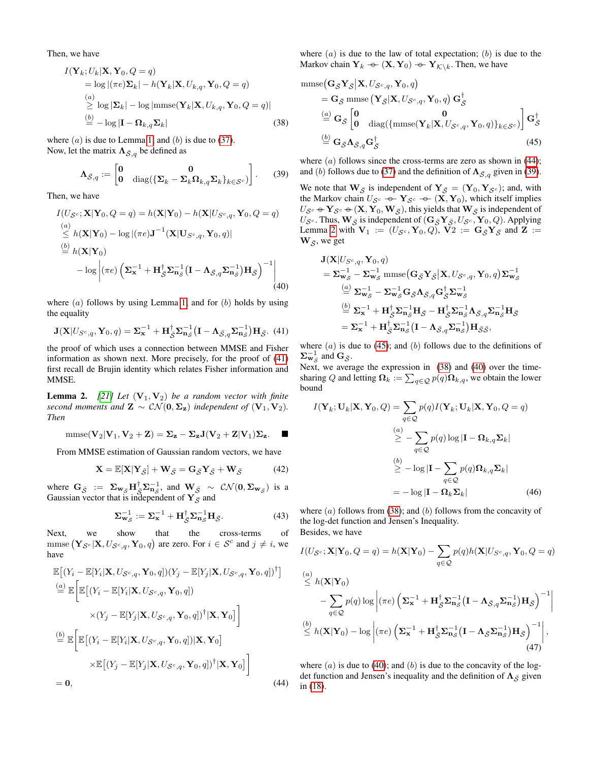Then, we have

$$
I(\mathbf{Y}_k; U_k | \mathbf{X}, \mathbf{Y}_0, Q = q)
$$
  
= log |( $\pi e$ ) $\Sigma_k$ | -  $h(\mathbf{Y}_k | \mathbf{X}, U_{k,q}, \mathbf{Y}_0, Q = q)$   
 $\stackrel{(a)}{\geq} log |\mathbf{\Sigma}_k| - log |\text{mmse}(\mathbf{Y}_k | \mathbf{X}, U_{k,q}, \mathbf{Y}_0, Q = q)|$   
 $\stackrel{(b)}{=} -log |\mathbf{I} - \mathbf{\Omega}_{k,q} \Sigma_k|$  (38)

where  $(a)$  is due to Lemma [1;](#page-4-5) and  $(b)$  is due to [\(37\)](#page-4-6). Now, let the matrix  $\Lambda_{\bar{S},q}$  be defined as

$$
\Lambda_{\bar{S},q} := \begin{bmatrix} 0 & 0 \\ 0 & \text{diag}(\{\Sigma_k - \Sigma_k \Omega_{k,q} \Sigma_k\}_{k \in S^c}) \end{bmatrix}.
$$
 (39)

Then, we have

$$
I(U_{\mathcal{S}^c}; \mathbf{X} | \mathbf{Y}_0, Q = q) = h(\mathbf{X} | \mathbf{Y}_0) - h(\mathbf{X} | U_{\mathcal{S}^c, q}, \mathbf{Y}_0, Q = q)
$$
  
\n
$$
\stackrel{(a)}{\leq} h(\mathbf{X} | \mathbf{Y}_0) - \log |(\pi e) \mathbf{J}^{-1}(\mathbf{X} | \mathbf{U}_{\mathcal{S}^c, q}, \mathbf{Y}_0, q)|
$$
  
\n
$$
\stackrel{(b)}{=} h(\mathbf{X} | \mathbf{Y}_0)
$$
  
\n
$$
- \log \left| (\pi e) \left( \mathbf{\Sigma}_{\mathbf{x}}^{-1} + \mathbf{H}_{\bar{\mathcal{S}}}^{\dagger} \mathbf{\Sigma}_{\mathbf{n}_{\mathcal{S}}}^{-1} (\mathbf{I} - \mathbf{\Lambda}_{\bar{\mathcal{S}}, q} \mathbf{\Sigma}_{\mathbf{n}_{\mathcal{S}}}^{-1}) \mathbf{H}_{\bar{\mathcal{S}}} \right)^{-1} \right|
$$
  
\n(40)

where  $(a)$  follows by using Lemma [1;](#page-4-5) and for  $(b)$  holds by using the equality

<span id="page-5-0"></span>
$$
\mathbf{J}(\mathbf{X}|U_{S^c,q},\mathbf{Y}_0,q) = \mathbf{\Sigma}_{\mathbf{x}}^{-1} + \mathbf{H}_{\bar{S}}^{\dagger} \mathbf{\Sigma}_{\mathbf{n}_S}^{-1} (\mathbf{I} - \mathbf{\Lambda}_{\bar{S},q} \mathbf{\Sigma}_{\mathbf{n}_S}^{-1}) \mathbf{H}_{\bar{S}}.
$$
(41)

the proof of which uses a connection between MMSE and Fisher information as shown next. More precisely, for the proof of [\(41\)](#page-5-0) first recall de Brujin identity which relates Fisher information and MMSE.

<span id="page-5-3"></span>**Lemma 2.** [\[21\]](#page-6-13) Let  $(V_1, V_2)$  be a random vector with finite *second moments and*  $\mathbf{Z} \sim \mathcal{CN}(\mathbf{0}, \Sigma_{\mathbf{z}})$  *independent of*  $(\mathbf{V}_1, \mathbf{V}_2)$ *. Then*

$$
\mathrm{mmse}(\mathbf{V}_2|\mathbf{V}_1,\mathbf{V}_2+\mathbf{Z})=\boldsymbol{\Sigma}_{\mathbf{z}}-\boldsymbol{\Sigma}_{\mathbf{z}}\mathbf{J}(\mathbf{V}_2+\mathbf{Z}|\mathbf{V}_1)\boldsymbol{\Sigma}_{\mathbf{z}}.\quad \blacksquare
$$

From MMSE estimation of Gaussian random vectors, we have

$$
\mathbf{X} = \mathbb{E}[\mathbf{X}|\mathbf{Y}_{\bar{\mathcal{S}}}] + \mathbf{W}_{\bar{\mathcal{S}}} = \mathbf{G}_{\bar{\mathcal{S}}}\mathbf{Y}_{\bar{\mathcal{S}}} + \mathbf{W}_{\bar{\mathcal{S}}}
$$
(42)

where  $G_{\bar{S}}$  :=  $\Sigma_{\mathbf{w}_{\bar{S}}} \mathbf{H}_{\bar{S}}^{\dagger} \Sigma_{\mathbf{n}_{\bar{S}}}^{-1}$ , and  $\mathbf{W}_{\bar{S}} \sim \mathcal{CN}(\mathbf{0}, \Sigma_{\mathbf{w}_{\bar{S}}})$  is a Gaussian vector that is independent of  $Y_{\bar{S}}$  and

$$
\Sigma_{\mathbf{w}_{\bar{S}}}^{-1} := \Sigma_{\mathbf{x}}^{-1} + \mathbf{H}_{\bar{S}}^{\dagger} \Sigma_{\mathbf{n}_{\bar{S}}}^{-1} \mathbf{H}_{\bar{S}}.
$$
 (43)

Next, we show that the cross-terms of mmse  $(\mathbf{Y}_{\mathcal{S}^c}|\mathbf{X}, U_{\mathcal{S}^c,q}, \mathbf{Y}_0, q)$  are zero. For  $i \in \mathcal{S}^c$  and  $j \neq i$ , we have

$$
\mathbb{E}\left[(Y_i - \mathbb{E}[Y_i|\mathbf{X}, U_{\mathcal{S}^c,q}, \mathbf{Y}_0, q])(Y_j - \mathbb{E}[Y_j|\mathbf{X}, U_{\mathcal{S}^c,q}, \mathbf{Y}_0, q])^\dagger\right]
$$
\n
$$
\stackrel{(a)}{=} \mathbb{E}\left[\mathbb{E}\left[(Y_i - \mathbb{E}[Y_i|\mathbf{X}, U_{\mathcal{S}^c,q}, \mathbf{Y}_0, q])\right] \times (Y_j - \mathbb{E}[Y_j|\mathbf{X}, U_{\mathcal{S}^c,q}, \mathbf{Y}_0, q])^\dagger|\mathbf{X}, \mathbf{Y}_0\right]
$$
\n
$$
\stackrel{(b)}{=} \mathbb{E}\left[\mathbb{E}\left[(Y_i - \mathbb{E}[Y_i|\mathbf{X}, U_{\mathcal{S}^c,q}, \mathbf{Y}_0, q])|\mathbf{X}, \mathbf{Y}_0\right]\right]
$$
\n
$$
\times \mathbb{E}\left[(Y_j - \mathbb{E}[Y_j|\mathbf{X}, U_{\mathcal{S}^c,q}, \mathbf{Y}_0, q])^\dagger|\mathbf{X}, \mathbf{Y}_0\right]\right]
$$
\n= 0, (44)

where  $(a)$  is due to the law of total expectation;  $(b)$  is due to the Markov chain  $Y_k \leftarrow (X, Y_0) \leftarrow Y_{\mathcal{K} \setminus k}$ . Then, we have

<span id="page-5-5"></span>mmse
$$
(\mathbf{G}_{\bar{S}}\mathbf{Y}_{\bar{S}}|\mathbf{X}, U_{\mathcal{S}^c,q}, \mathbf{Y}_0, q)
$$
  
\n
$$
= \mathbf{G}_{\bar{S}} \text{mmse}\left(\mathbf{Y}_{\bar{S}}|\mathbf{X}, U_{\mathcal{S}^c,q}, \mathbf{Y}_0, q\right) \mathbf{G}_{\bar{S}}^{\dagger}
$$
\n
$$
\stackrel{(a)}{=} \mathbf{G}_{\bar{S}} \begin{bmatrix} \mathbf{0} & \mathbf{0} \\ \mathbf{0} & \text{diag}(\{\text{mmse}(\mathbf{Y}_k|\mathbf{X}, U_{\mathcal{S}^c,q}, \mathbf{Y}_0, q)\}_{k \in \mathcal{S}^c} ) \end{bmatrix} \mathbf{G}_{\bar{S}}^{\dagger}
$$
\n
$$
\stackrel{(b)}{=} \mathbf{G}_{\bar{S}} \Lambda_{\bar{S},q} \mathbf{G}_{\bar{S}}^{\dagger}
$$
\n(45)

<span id="page-5-4"></span><span id="page-5-2"></span>where  $(a)$  follows since the cross-terms are zero as shown in [\(44\)](#page-5-1); and (b) follows due to [\(37\)](#page-4-6) and the definition of  $\Lambda_{\bar{S},q}$  given in [\(39\)](#page-5-2).

We note that  $\mathbf{W}_{\bar{\mathcal{S}}}$  is independent of  $\mathbf{Y}_{\bar{\mathcal{S}}} = (\mathbf{Y}_0, \mathbf{Y}_{\bar{\mathcal{S}}^c})$ ; and, with the Markov chain  $U_{S^c} \nightharpoonup Y_{S^c} \nightharpoonup (X, Y_0)$ , which itself implies<br> $U_{\sigma} \circ Y_{\sigma} \circ (X, Y_{\sigma} W_{\sigma})$  this vial to that  $W_{\sigma}$  is independent of  $U_{\mathcal{S}^c} \oplus \mathbf{Y}_{\mathcal{S}^c} \oplus (\mathbf{X}, \mathbf{Y}_0, \mathbf{W}_{\bar{\mathcal{S}}})$ , this yields that  $\mathbf{W}_{\bar{\mathcal{S}}}$  is independent of  $U_{\bar{\mathcal{S}}}$ . Thus  $\mathbf{W}_{\bar{\mathcal{S}}}$  is independent of  $(\mathbf{C}, \mathbf{Y}, U_{\bar{\mathcal{S}}}, \mathbf{Y}, \mathbf{Q})$ . Applying  $U_{\mathcal{S}^c}$ . Thus,  $\mathbf{W}_{\bar{\mathcal{S}}}$  is independent of  $(\mathbf{G}_{\bar{\mathcal{S}}} \mathbf{Y}_{\bar{\mathcal{S}}}, U_{\mathcal{S}^c}, \mathbf{Y}_0, Q)$ . Applying Lemma [2](#page-5-3) with  $V_1 := (U_{\mathcal{S}^c}, Y_0, Q)$ ,  $V_2 := G_{\bar{\mathcal{S}}} Y_{\bar{\mathcal{S}}}$  and  $Z :=$  $W_{\bar{S}}$ , we get

<span id="page-5-6"></span>
$$
\mathbf{J}(\mathbf{X}|U_{S^c,q}, \mathbf{Y}_0, q) \n= \mathbf{\Sigma}_{\mathbf{w}_{\mathcal{S}}}^{-1} - \mathbf{\Sigma}_{\mathbf{w}_{\mathcal{S}}}^{-1} \text{mmse} \big( \mathbf{G}_{\bar{S}} \mathbf{Y}_{\bar{S}} \big| \mathbf{X}, U_{\mathcal{S}^c,q}, \mathbf{Y}_0, q \big) \mathbf{\Sigma}_{\mathbf{w}_{\mathcal{S}}}^{-1} \n= \mathbf{\Sigma}_{\mathbf{w}_{\mathcal{S}}}^{-1} - \mathbf{\Sigma}_{\mathbf{w}_{\mathcal{S}}}^{-1} \mathbf{G}_{\bar{S}} \mathbf{\Lambda}_{\bar{S},q} \mathbf{G}_{\bar{S}}^{\dagger} \mathbf{\Sigma}_{\mathbf{w}_{\mathcal{S}}}^{-1} \n= \mathbf{\Sigma}_{\mathbf{x}}^{-1} + \mathbf{H}_{\bar{S}}^{\dagger} \mathbf{\Sigma}_{\mathbf{n}_{\bar{S}}}^{-1} \mathbf{H}_{\bar{S}} - \mathbf{H}_{\bar{S}}^{\dagger} \mathbf{\Sigma}_{\mathbf{n}_{\bar{S}}}^{-1} \mathbf{\Lambda}_{\bar{S},q} \mathbf{\Sigma}_{\mathbf{n}_{\bar{S}}}^{-1} \mathbf{H}_{\bar{S}} \n= \mathbf{\Sigma}_{\mathbf{x}}^{-1} + \mathbf{H}_{\bar{S}}^{\dagger} \mathbf{\Sigma}_{\mathbf{n}_{\mathcal{S}}}^{-1} (\mathbf{I} - \mathbf{\Lambda}_{\bar{S},q} \mathbf{\Sigma}_{\mathbf{n}_{\bar{S}}}^{-1}) \mathbf{H}_{\bar{S}\bar{S}},
$$

where  $(a)$  is due to [\(45\)](#page-5-4); and  $(b)$  follows due to the definitions of  $\Sigma_{\mathbf{w}_{\mathcal{S}}}^{-1}$  and  $\mathbf{G}_{\mathcal{S}}$ .

Next, we average the expression in [\(38\)](#page-5-5) and [\(40\)](#page-5-6) over the timesharing Q and letting  $\Omega_k := \sum_{q \in \mathcal{Q}} p(q) \Omega_{k,q}$ , we obtain the lower bound

$$
I(\mathbf{Y}_k; \mathbf{U}_k | \mathbf{X}, \mathbf{Y}_0, Q) = \sum_{q \in Q} p(q) I(\mathbf{Y}_k; \mathbf{U}_k | \mathbf{X}, \mathbf{Y}_0, Q = q)
$$
  

$$
\overset{(a)}{\geq} - \sum_{q \in Q} p(q) \log |\mathbf{I} - \mathbf{\Omega}_{k,q} \mathbf{\Sigma}_k|
$$
  

$$
\overset{(b)}{\geq} - \log |\mathbf{I} - \sum_{q \in Q} p(q) \mathbf{\Omega}_{k,q} \mathbf{\Sigma}_k|
$$
  

$$
= -\log |\mathbf{I} - \mathbf{\Omega}_k \mathbf{\Sigma}_k|
$$
 (46)

<span id="page-5-7"></span>where  $(a)$  follows from [\(38\)](#page-5-5); and  $(b)$  follows from the concavity of the log-det function and Jensen's Inequality.

Besides, we have

$$
I(U_{\mathcal{S}^c}; \mathbf{X} | \mathbf{Y}_0, Q = q) = h(\mathbf{X} | \mathbf{Y}_0) - \sum_{q \in \mathcal{Q}} p(q) h(\mathbf{X} | U_{\mathcal{S}^c, q}, \mathbf{Y}_0, Q = q)
$$
  
\n
$$
\stackrel{(a)}{\leq} h(\mathbf{X} | \mathbf{Y}_0)
$$
\n
$$
- \sum_{q \in \mathcal{Q}} p(q) \log \left| (\pi e) \left( \mathbf{\Sigma}_{\mathbf{x}}^{-1} + \mathbf{H}_{\mathcal{S}}^{\dagger} \mathbf{\Sigma}_{\mathbf{n}_{\mathcal{S}}}^{-1} (\mathbf{I} - \mathbf{\Lambda}_{\mathcal{S}, q} \mathbf{\Sigma}_{\mathbf{n}_{\mathcal{S}}}^{-1}) \mathbf{H}_{\mathcal{S}} \right)^{-1} \right|
$$
  
\n
$$
\stackrel{(b)}{\leq} h(\mathbf{X} | \mathbf{Y}_0) - \log \left| (\pi e) \left( \mathbf{\Sigma}_{\mathbf{x}}^{-1} + \mathbf{H}_{\mathcal{S}}^{\dagger} \mathbf{\Sigma}_{\mathbf{n}_{\mathcal{S}}}^{-1} (\mathbf{I} - \mathbf{\Lambda}_{\mathcal{S}} \mathbf{\Sigma}_{\mathbf{n}_{\mathcal{S}}}^{-1}) \mathbf{H}_{\mathcal{S}} \right)^{-1} \right|,
$$
\n(47)

<span id="page-5-8"></span><span id="page-5-1"></span>where  $(a)$  is due to [\(40\)](#page-5-6); and  $(b)$  is due to the concavity of the logdet function and Jensen's inequality and the definition of  $\Lambda_{\bar{S}}$  given in [\(18\)](#page-2-1).